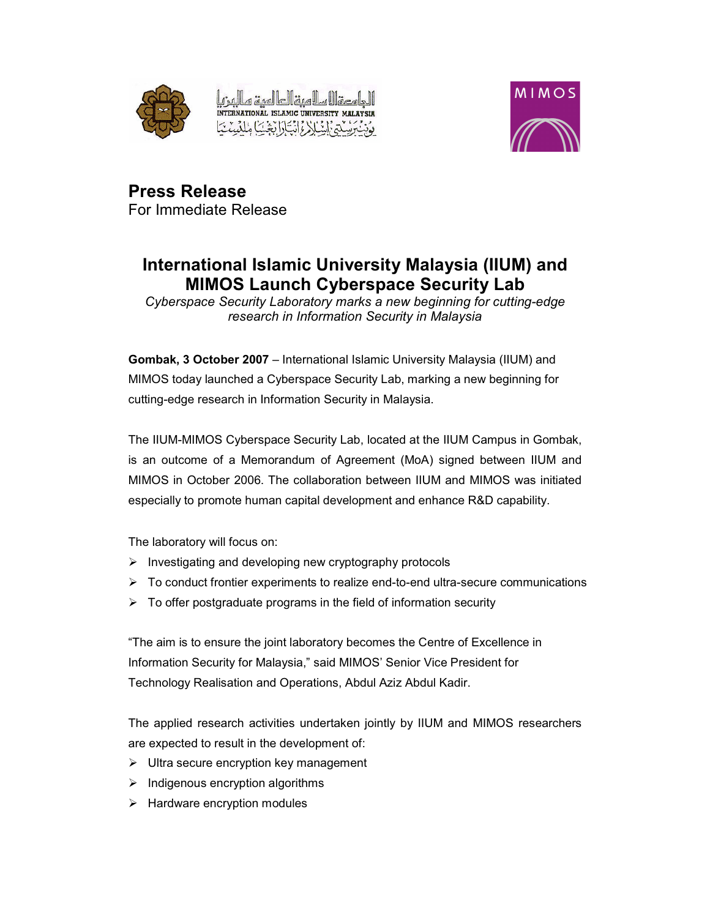



**Press Release** For Immediate Release

## International Islamic University Malaysia (IIUM) and **MIMOS Launch Cyberspace Security Lab**

Cyberspace Security Laboratory marks a new beginning for cutting-edge research in Information Security in Malaysia

Gombak, 3 October 2007 - International Islamic University Malaysia (IIUM) and MIMOS today launched a Cyberspace Security Lab, marking a new beginning for cutting-edge research in Information Security in Malaysia.

The IIUM-MIMOS Cyberspace Security Lab, located at the IIUM Campus in Gombak, is an outcome of a Memorandum of Agreement (MoA) signed between IIUM and MIMOS in October 2006. The collaboration between IIUM and MIMOS was initiated especially to promote human capital development and enhance R&D capability.

The laboratory will focus on:

- $\triangleright$  Investigating and developing new cryptography protocols
- $\triangleright$  To conduct frontier experiments to realize end-to-end ultra-secure communications
- $\triangleright$  To offer postgraduate programs in the field of information security

"The aim is to ensure the joint laboratory becomes the Centre of Excellence in Information Security for Malaysia," said MIMOS' Senior Vice President for Technology Realisation and Operations, Abdul Aziz Abdul Kadir.

The applied research activities undertaken jointly by IIUM and MIMOS researchers are expected to result in the development of:

- $\triangleright$  Ultra secure encryption key management
- $\triangleright$  Indigenous encryption algorithms
- $\triangleright$  Hardware encryption modules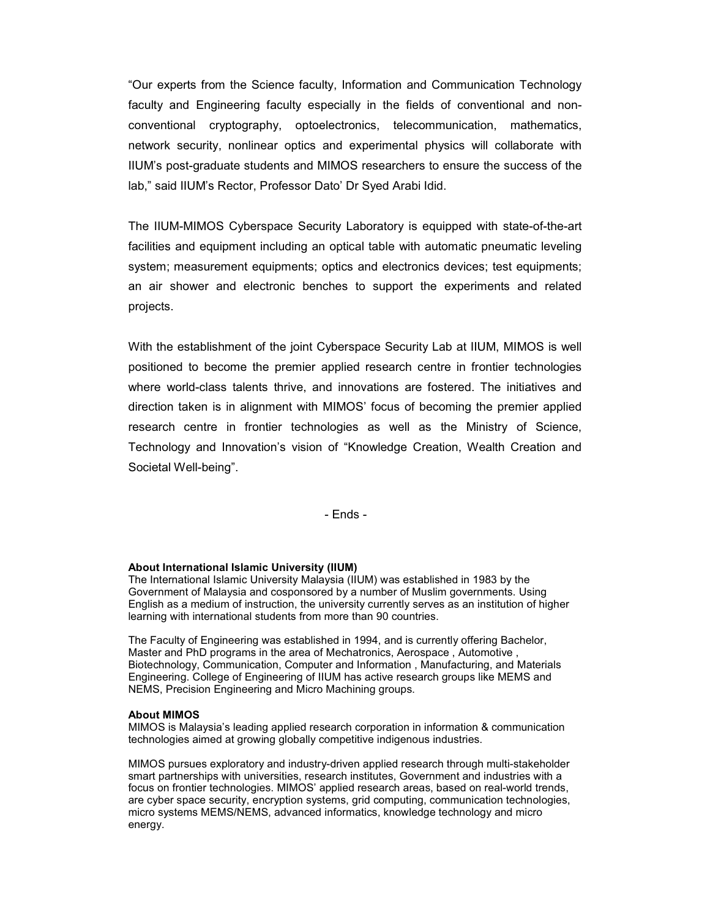"Our experts from the Science faculty, Information and Communication Technology faculty and Engineering faculty especially in the fields of conventional and nonconventional cryptography, optoelectronics, telecommunication, mathematics, network security, nonlinear optics and experimental physics will collaborate with IIUM's post-graduate students and MIMOS researchers to ensure the success of the lab," said IIUM's Rector, Professor Dato' Dr Syed Arabi Idid.

The IIUM-MIMOS Cyberspace Security Laboratory is equipped with state-of-the-art facilities and equipment including an optical table with automatic pneumatic leveling system; measurement equipments; optics and electronics devices; test equipments; an air shower and electronic benches to support the experiments and related projects.

With the establishment of the joint Cyberspace Security Lab at IIUM, MIMOS is well positioned to become the premier applied research centre in frontier technologies where world-class talents thrive, and innovations are fostered. The initiatives and direction taken is in alignment with MIMOS' focus of becoming the premier applied research centre in frontier technologies as well as the Ministry of Science, Technology and Innovation's vision of "Knowledge Creation, Wealth Creation and Societal Well-being".

 $-$  Fnds  $-$ 

## About International Islamic University (IIUM)

The International Islamic University Malaysia (IIUM) was established in 1983 by the Government of Malaysia and cosponsored by a number of Muslim governments. Using English as a medium of instruction, the university currently serves as an institution of higher learning with international students from more than 90 countries.

The Faculty of Engineering was established in 1994, and is currently offering Bachelor, Master and PhD programs in the area of Mechatronics, Aerospace, Automotive, Biotechnology, Communication, Computer and Information, Manufacturing, and Materials Engineering. College of Engineering of IIUM has active research groups like MEMS and NEMS, Precision Engineering and Micro Machining groups.

## **About MIMOS**

MIMOS is Malaysia's leading applied research corporation in information & communication technologies aimed at growing globally competitive indigenous industries.

MIMOS pursues exploratory and industry-driven applied research through multi-stakeholder smart partnerships with universities, research institutes, Government and industries with a focus on frontier technologies. MIMOS' applied research areas, based on real-world trends, are cyber space security, encryption systems, grid computing, communication technologies, micro systems MEMS/NEMS, advanced informatics, knowledge technology and micro energy.